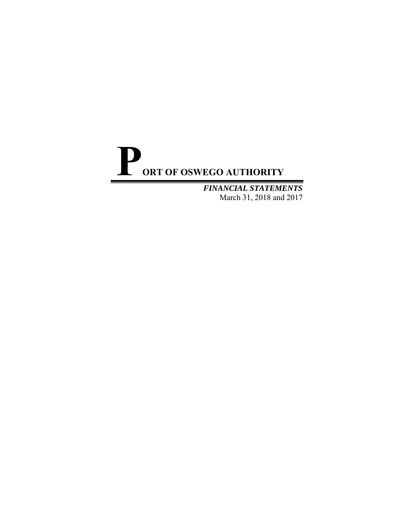# **ORT OF OSWEGO AUTHORITY P**

*FINANCIAL STATEMENTS*  March 31, 2018 and 2017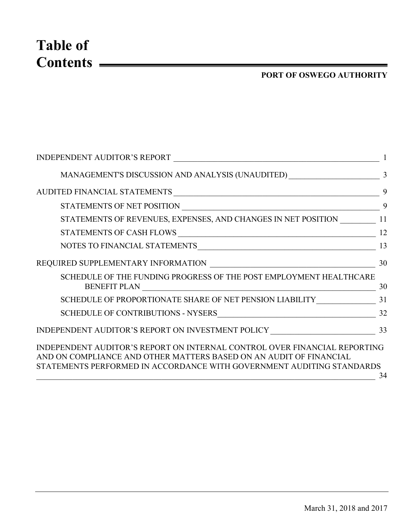## **Table of Contents**

#### **PORT OF OSWEGO AUTHORITY**

| STATEMENTS OF REVENUES, EXPENSES, AND CHANGES IN NET POSITION 11 11                                                                                      |
|----------------------------------------------------------------------------------------------------------------------------------------------------------|
|                                                                                                                                                          |
|                                                                                                                                                          |
|                                                                                                                                                          |
|                                                                                                                                                          |
|                                                                                                                                                          |
|                                                                                                                                                          |
|                                                                                                                                                          |
| INDEPENDENT AUDITOR'S REPORT ON INTERNAL CONTROL OVER FINANCIAL REPORTING<br>STATEMENTS PERFORMED IN ACCORDANCE WITH GOVERNMENT AUDITING STANDARDS<br>34 |
|                                                                                                                                                          |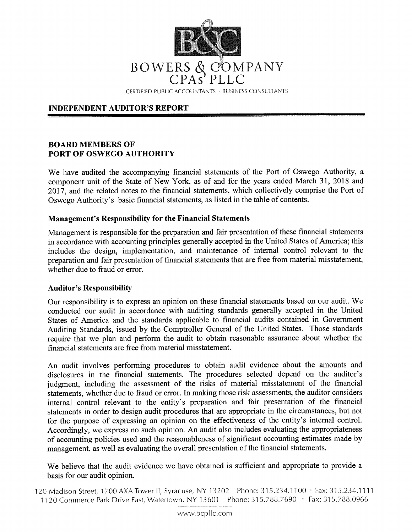

**CERTIFIED PUBLIC ACCOUNTANTS . BUSINESS CONSULTANTS** 

#### **INDEPENDENT AUDITOR'S REPORT**

#### **BOARD MEMBERS OF** PORT OF OSWEGO AUTHORITY

We have audited the accompanying financial statements of the Port of Oswego Authority, a component unit of the State of New York, as of and for the years ended March 31, 2018 and 2017, and the related notes to the financial statements, which collectively comprise the Port of Oswego Authority's basic financial statements, as listed in the table of contents.

#### **Management's Responsibility for the Financial Statements**

Management is responsible for the preparation and fair presentation of these financial statements in accordance with accounting principles generally accepted in the United States of America; this includes the design, implementation, and maintenance of internal control relevant to the preparation and fair presentation of financial statements that are free from material misstatement, whether due to fraud or error.

#### **Auditor's Responsibility**

Our responsibility is to express an opinion on these financial statements based on our audit. We conducted our audit in accordance with auditing standards generally accepted in the United States of America and the standards applicable to financial audits contained in Government Auditing Standards, issued by the Comptroller General of the United States. Those standards require that we plan and perform the audit to obtain reasonable assurance about whether the financial statements are free from material misstatement.

An audit involves performing procedures to obtain audit evidence about the amounts and disclosures in the financial statements. The procedures selected depend on the auditor's judgment, including the assessment of the risks of material misstatement of the financial statements, whether due to fraud or error. In making those risk assessments, the auditor considers internal control relevant to the entity's preparation and fair presentation of the financial statements in order to design audit procedures that are appropriate in the circumstances, but not for the purpose of expressing an opinion on the effectiveness of the entity's internal control. Accordingly, we express no such opinion. An audit also includes evaluating the appropriateness of accounting policies used and the reasonableness of significant accounting estimates made by management, as well as evaluating the overall presentation of the financial statements.

We believe that the audit evidence we have obtained is sufficient and appropriate to provide a basis for our audit opinion.

120 Madison Street, 1700 AXA Tower II, Syracuse, NY 13202 Phone: 315.234.1100 • Fax: 315.234.1111 1120 Commerce Park Drive East, Watertown, NY 13601 Phone: 315.788.7690 • Fax: 315.788.0966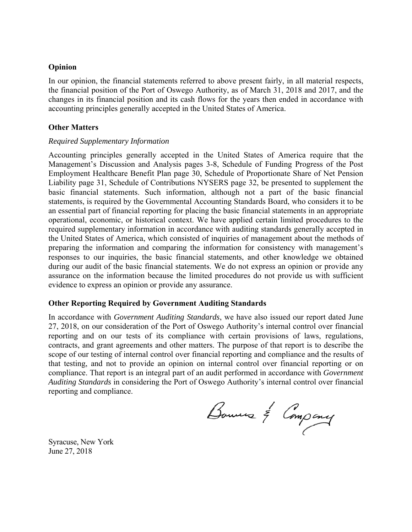#### **Opinion**

In our opinion, the financial statements referred to above present fairly, in all material respects, the financial position of the Port of Oswego Authority, as of March 31, 2018 and 2017, and the changes in its financial position and its cash flows for the years then ended in accordance with accounting principles generally accepted in the United States of America.

#### **Other Matters**

#### *Required Supplementary Information*

Accounting principles generally accepted in the United States of America require that the Management's Discussion and Analysis pages 3-8, Schedule of Funding Progress of the Post Employment Healthcare Benefit Plan page 30, Schedule of Proportionate Share of Net Pension Liability page 31, Schedule of Contributions NYSERS page 32, be presented to supplement the basic financial statements. Such information, although not a part of the basic financial statements, is required by the Governmental Accounting Standards Board, who considers it to be an essential part of financial reporting for placing the basic financial statements in an appropriate operational, economic, or historical context. We have applied certain limited procedures to the required supplementary information in accordance with auditing standards generally accepted in the United States of America, which consisted of inquiries of management about the methods of preparing the information and comparing the information for consistency with management's responses to our inquiries, the basic financial statements, and other knowledge we obtained during our audit of the basic financial statements. We do not express an opinion or provide any assurance on the information because the limited procedures do not provide us with sufficient evidence to express an opinion or provide any assurance.

#### **Other Reporting Required by Government Auditing Standards**

In accordance with *Government Auditing Standards*, we have also issued our report dated June 27, 2018, on our consideration of the Port of Oswego Authority's internal control over financial reporting and on our tests of its compliance with certain provisions of laws, regulations, contracts, and grant agreements and other matters. The purpose of that report is to describe the scope of our testing of internal control over financial reporting and compliance and the results of that testing, and not to provide an opinion on internal control over financial reporting or on compliance. That report is an integral part of an audit performed in accordance with *Government Auditing Standards* in considering the Port of Oswego Authority's internal control over financial reporting and compliance.

Bouwers & Company

Syracuse, New York June 27, 2018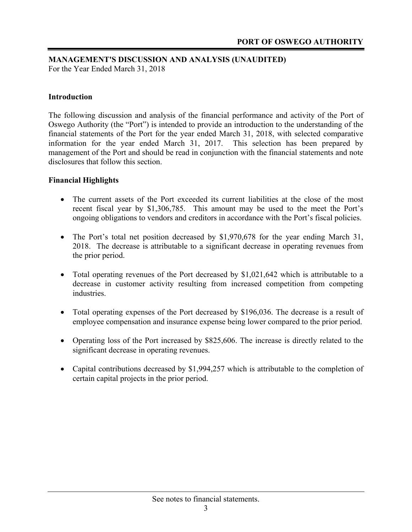#### **MANAGEMENT'S DISCUSSION AND ANALYSIS (UNAUDITED)**  For the Year Ended March 31, 2018

#### **Introduction**

The following discussion and analysis of the financial performance and activity of the Port of Oswego Authority (the "Port") is intended to provide an introduction to the understanding of the financial statements of the Port for the year ended March 31, 2018, with selected comparative information for the year ended March 31, 2017. This selection has been prepared by management of the Port and should be read in conjunction with the financial statements and note disclosures that follow this section.

#### **Financial Highlights**

- The current assets of the Port exceeded its current liabilities at the close of the most recent fiscal year by \$1,306,785. This amount may be used to the meet the Port's ongoing obligations to vendors and creditors in accordance with the Port's fiscal policies.
- The Port's total net position decreased by \$1,970,678 for the year ending March 31, 2018. The decrease is attributable to a significant decrease in operating revenues from the prior period.
- Total operating revenues of the Port decreased by \$1,021,642 which is attributable to a decrease in customer activity resulting from increased competition from competing industries.
- Total operating expenses of the Port decreased by \$196,036. The decrease is a result of employee compensation and insurance expense being lower compared to the prior period.
- Operating loss of the Port increased by \$825,606. The increase is directly related to the significant decrease in operating revenues.
- Capital contributions decreased by \$1,994,257 which is attributable to the completion of certain capital projects in the prior period.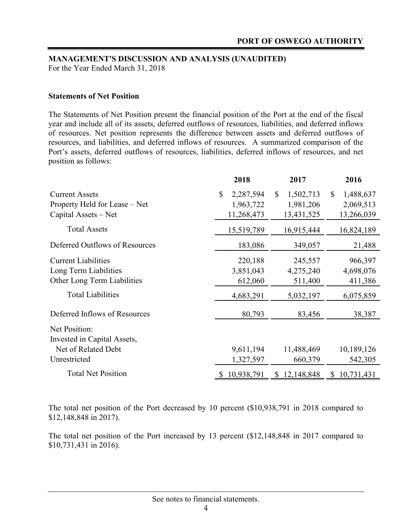#### **MANAGEMENT'S DISCUSSION AND ANALYSIS (UNAUDITED)** For the Year Ended March 31, 2018

**Statements of Net Position** 

The Statements of Net Position present the financial position of the Port at the end of the fiscal year and include all of its assets, deferred outflows of resources, liabilities, and deferred inflows of resources. Net position represents the difference between assets and deferred outflows of resources, and liabilities, and deferred inflows of resources. A summarized comparison of the Port's assets, deferred outflows of resources, liabilities, deferred inflows of resources, and net position as follows:

|                                | 2018            | 2017                      | 2016                      |
|--------------------------------|-----------------|---------------------------|---------------------------|
| <b>Current Assets</b>          | \$<br>2,287,594 | $\mathbb{S}$<br>1,502,713 | $\mathbb{S}$<br>1,488,637 |
| Property Held for Lease – Net  | 1,963,722       | 1,981,206                 | 2,069,513                 |
| Capital Assets – Net           | 11,268,473      | 13,431,525                | 13,266,039                |
| <b>Total Assets</b>            | 15,519,789      | 16,915,444                | 16,824,189                |
| Deferred Outflows of Resources | 183,086         | 349,057                   | 21,488                    |
| <b>Current Liabilities</b>     | 220,188         | 245,557                   | 966,397                   |
| Long Term Liabilities          | 3,851,043       | 4,275,240                 | 4,698,076                 |
| Other Long Term Liabilities    | 612,060         | 511,400                   | 411,386                   |
| <b>Total Liabilities</b>       | 4,683,291       | 5,032,197                 | 6,075,859                 |
| Deferred Inflows of Resources  | 80,793          | 83,456                    | 38,387                    |
| Net Position:                  |                 |                           |                           |
| Invested in Capital Assets,    |                 |                           |                           |
| Net of Related Debt            | 9,611,194       | 11,488,469                | 10,189,126                |
| Unrestricted                   | 1,327,597       | 660,379                   | 542,305                   |
| <b>Total Net Position</b>      | 10,938,791      | \$12,148,848              | 10,731,431<br>S           |

The total net position of the Port decreased by 10 percent (\$10,938,791 in 2018 compared to \$12,148,848 in 2017).

The total net position of the Port increased by 13 percent (\$12,148,848 in 2017 compared to \$10,731,431 in 2016).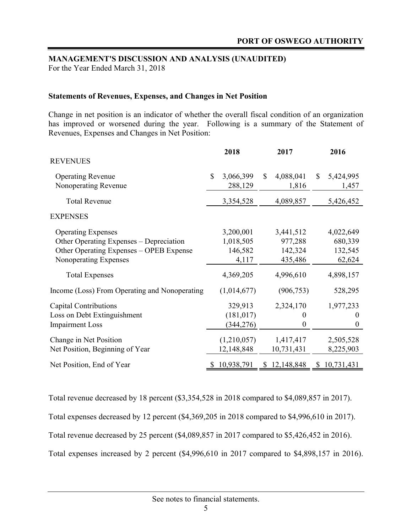### **MANAGEMENT'S DISCUSSION AND ANALYSIS (UNAUDITED)**

For the Year Ended March 31, 2018

#### **Statements of Revenues, Expenses, and Changes in Net Position**

Change in net position is an indicator of whether the overall fiscal condition of an organization has improved or worsened during the year. Following is a summary of the Statement of Revenues, Expenses and Changes in Net Position:

|                                                                                                                                          |              | 2018                                       | 2017                                              |              | 2016                                      |
|------------------------------------------------------------------------------------------------------------------------------------------|--------------|--------------------------------------------|---------------------------------------------------|--------------|-------------------------------------------|
| <b>REVENUES</b>                                                                                                                          |              |                                            |                                                   |              |                                           |
| <b>Operating Revenue</b><br>Nonoperating Revenue                                                                                         | $\mathbb{S}$ | 3,066,399<br>288,129                       | \$<br>4,088,041<br>1,816                          | $\mathbb{S}$ | 5,424,995<br>1,457                        |
| <b>Total Revenue</b>                                                                                                                     |              | 3,354,528                                  | 4,089,857                                         |              | 5,426,452                                 |
| <b>EXPENSES</b>                                                                                                                          |              |                                            |                                                   |              |                                           |
| <b>Operating Expenses</b><br>Other Operating Expenses - Depreciation<br>Other Operating Expenses – OPEB Expense<br>Nonoperating Expenses |              | 3,200,001<br>1,018,505<br>146,582<br>4,117 | 3,441,512<br>977,288<br>142,324<br>435,486        |              | 4,022,649<br>680,339<br>132,545<br>62,624 |
| <b>Total Expenses</b>                                                                                                                    |              | 4,369,205                                  | 4,996,610                                         |              | 4,898,157                                 |
| Income (Loss) From Operating and Nonoperating                                                                                            |              | (1,014,677)                                | (906, 753)                                        |              | 528,295                                   |
| Capital Contributions<br>Loss on Debt Extinguishment<br><b>Impairment Loss</b>                                                           |              | 329,913<br>(181, 017)<br>(344, 276)        | 2,324,170<br>$\boldsymbol{0}$<br>$\boldsymbol{0}$ |              | 1,977,233<br>$\theta$<br>$\theta$         |
| Change in Net Position<br>Net Position, Beginning of Year                                                                                |              | (1,210,057)<br>12,148,848                  | 1,417,417<br>10,731,431                           |              | 2,505,528<br>8,225,903                    |
| Net Position, End of Year                                                                                                                |              | 10,938,791                                 | \$12,148,848                                      | \$           | 10,731,431                                |

Total revenue decreased by 18 percent (\$3,354,528 in 2018 compared to \$4,089,857 in 2017).

Total expenses decreased by 12 percent (\$4,369,205 in 2018 compared to \$4,996,610 in 2017).

Total revenue decreased by 25 percent (\$4,089,857 in 2017 compared to \$5,426,452 in 2016).

Total expenses increased by 2 percent (\$4,996,610 in 2017 compared to \$4,898,157 in 2016).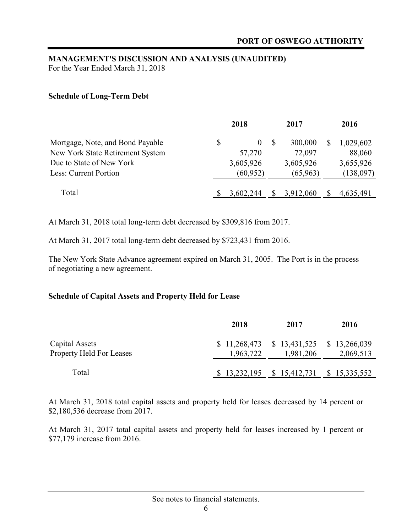#### **MANAGEMENT'S DISCUSSION AND ANALYSIS (UNAUDITED)**

For the Year Ended March 31, 2018

#### **Schedule of Long-Term Debt**

|                                  | 2018      | 2017      | 2016      |
|----------------------------------|-----------|-----------|-----------|
| Mortgage, Note, and Bond Payable | $\theta$  | 300,000   | 1,029,602 |
| New York State Retirement System | 57,270    | 72,097    | 88,060    |
| Due to State of New York         | 3,605,926 | 3,605,926 | 3,655,926 |
| Less: Current Portion            | (60, 952) | (65,963)  | (138,097) |
|                                  |           |           |           |
| Total                            | 3,602,244 | 3,912,060 | 4,635,491 |

At March 31, 2018 total long-term debt decreased by \$309,816 from 2017.

At March 31, 2017 total long-term debt decreased by \$723,431 from 2016.

The New York State Advance agreement expired on March 31, 2005. The Port is in the process of negotiating a new agreement.

#### **Schedule of Capital Assets and Property Held for Lease**

|                                                   | 2018      | 2017                                                   | 2016      |
|---------------------------------------------------|-----------|--------------------------------------------------------|-----------|
| Capital Assets<br><b>Property Held For Leases</b> | 1,963,722 | $$11,268,473$ $$13,431,525$ $$13,266,039$<br>1,981,206 | 2,069,513 |
| Total                                             |           | $$13,232,195$ $$15,412,731$ $$15,335,552$              |           |

At March 31, 2018 total capital assets and property held for leases decreased by 14 percent or \$2,180,536 decrease from 2017.

At March 31, 2017 total capital assets and property held for leases increased by 1 percent or \$77,179 increase from 2016.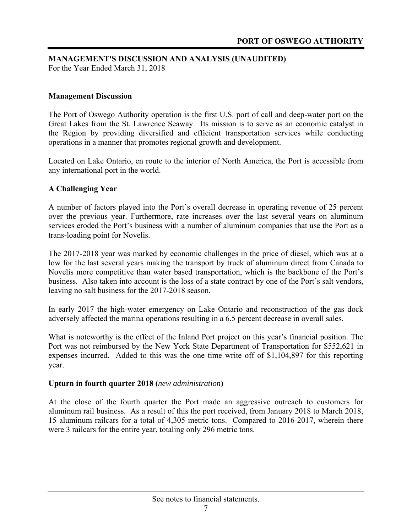#### **MANAGEMENT'S DISCUSSION AND ANALYSIS (UNAUDITED)**  For the Year Ended March 31, 2018

#### **Management Discussion**

The Port of Oswego Authority operation is the first U.S. port of call and deep-water port on the Great Lakes from the St. Lawrence Seaway. Its mission is to serve as an economic catalyst in the Region by providing diversified and efficient transportation services while conducting operations in a manner that promotes regional growth and development.

Located on Lake Ontario, en route to the interior of North America, the Port is accessible from any international port in the world.

#### **A Challenging Year**

A number of factors played into the Port's overall decrease in operating revenue of 25 percent over the previous year. Furthermore, rate increases over the last several years on aluminum services eroded the Port's business with a number of aluminum companies that use the Port as a trans-loading point for Novelis.

The 2017-2018 year was marked by economic challenges in the price of diesel, which was at a low for the last several years making the transport by truck of aluminum direct from Canada to Novelis more competitive than water based transportation, which is the backbone of the Port's business. Also taken into account is the loss of a state contract by one of the Port's salt vendors, leaving no salt business for the 2017-2018 season.

In early 2017 the high-water emergency on Lake Ontario and reconstruction of the gas dock adversely affected the marina operations resulting in a 6.5 percent decrease in overall sales.

What is noteworthy is the effect of the Inland Port project on this year's financial position. The Port was not reimbursed by the New York State Department of Transportation for \$552,621 in expenses incurred. Added to this was the one time write off of \$1,104,897 for this reporting year.

#### **Upturn in fourth quarter 2018 (***new administration***)**

At the close of the fourth quarter the Port made an aggressive outreach to customers for aluminum rail business. As a result of this the port received, from January 2018 to March 2018, 15 aluminum railcars for a total of 4,305 metric tons. Compared to 2016-2017, wherein there were 3 railcars for the entire year, totaling only 296 metric tons.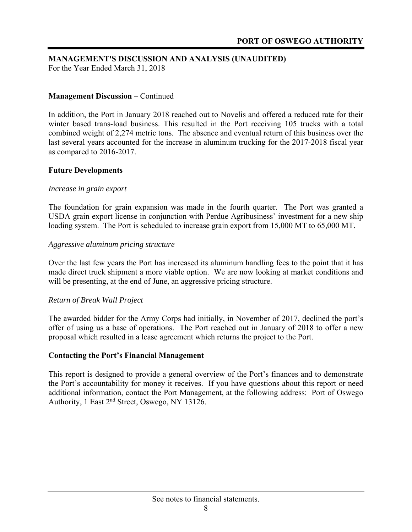## **MANAGEMENT'S DISCUSSION AND ANALYSIS (UNAUDITED)**

For the Year Ended March 31, 2018

#### **Management Discussion** – Continued

In addition, the Port in January 2018 reached out to Novelis and offered a reduced rate for their winter based trans-load business. This resulted in the Port receiving 105 trucks with a total combined weight of 2,274 metric tons. The absence and eventual return of this business over the last several years accounted for the increase in aluminum trucking for the 2017-2018 fiscal year as compared to 2016-2017.

#### **Future Developments**

#### *Increase in grain export*

The foundation for grain expansion was made in the fourth quarter. The Port was granted a USDA grain export license in conjunction with Perdue Agribusiness' investment for a new ship loading system. The Port is scheduled to increase grain export from 15,000 MT to 65,000 MT.

#### *Aggressive aluminum pricing structure*

Over the last few years the Port has increased its aluminum handling fees to the point that it has made direct truck shipment a more viable option. We are now looking at market conditions and will be presenting, at the end of June, an aggressive pricing structure.

#### *Return of Break Wall Project*

The awarded bidder for the Army Corps had initially, in November of 2017, declined the port's offer of using us a base of operations. The Port reached out in January of 2018 to offer a new proposal which resulted in a lease agreement which returns the project to the Port.

#### **Contacting the Port's Financial Management**

This report is designed to provide a general overview of the Port's finances and to demonstrate the Port's accountability for money it receives. If you have questions about this report or need additional information, contact the Port Management, at the following address: Port of Oswego Authority, 1 East 2<sup>nd</sup> Street, Oswego, NY 13126.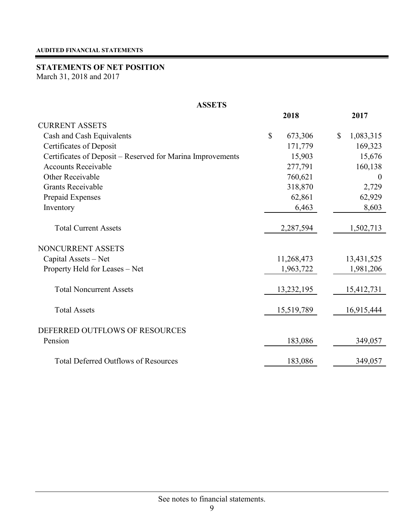## **STATEMENTS OF NET POSITION**

March 31, 2018 and 2017

| <b>ASSETS</b>                                              |               |                           |
|------------------------------------------------------------|---------------|---------------------------|
|                                                            | 2018          | 2017                      |
| <b>CURRENT ASSETS</b>                                      |               |                           |
| Cash and Cash Equivalents                                  | \$<br>673,306 | 1,083,315<br>$\mathbb{S}$ |
| Certificates of Deposit                                    | 171,779       | 169,323                   |
| Certificates of Deposit – Reserved for Marina Improvements | 15,903        | 15,676                    |
| <b>Accounts Receivable</b>                                 | 277,791       | 160,138                   |
| <b>Other Receivable</b>                                    | 760,621       | $\theta$                  |
| <b>Grants Receivable</b>                                   | 318,870       | 2,729                     |
| Prepaid Expenses                                           | 62,861        | 62,929                    |
| Inventory                                                  | 6,463         | 8,603                     |
| <b>Total Current Assets</b>                                | 2,287,594     | 1,502,713                 |
| NONCURRENT ASSETS                                          |               |                           |
| Capital Assets - Net                                       | 11,268,473    | 13,431,525                |
| Property Held for Leases - Net                             | 1,963,722     | 1,981,206                 |
| <b>Total Noncurrent Assets</b>                             | 13,232,195    | 15,412,731                |
| <b>Total Assets</b>                                        | 15,519,789    | 16,915,444                |
| DEFERRED OUTFLOWS OF RESOURCES                             |               |                           |
| Pension                                                    | 183,086       | 349,057                   |
| <b>Total Deferred Outflows of Resources</b>                | 183,086       | 349,057                   |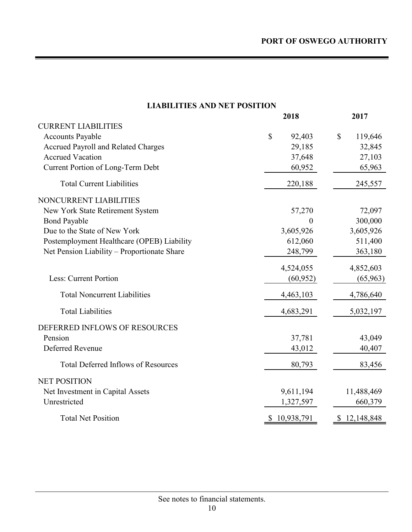| <b>LIABILITIES AND NET POSITION</b>         |                  |                  |
|---------------------------------------------|------------------|------------------|
|                                             | 2018             | 2017             |
| <b>CURRENT LIABILITIES</b>                  |                  |                  |
| <b>Accounts Payable</b>                     | \$<br>92,403     | \$<br>119,646    |
| Accrued Payroll and Related Charges         | 29,185           | 32,845           |
| <b>Accrued Vacation</b>                     | 37,648           | 27,103           |
| Current Portion of Long-Term Debt           | 60,952           | 65,963           |
| <b>Total Current Liabilities</b>            | 220,188          | 245,557          |
| <b>NONCURRENT LIABILITIES</b>               |                  |                  |
| New York State Retirement System            | 57,270           | 72,097           |
| <b>Bond Payable</b>                         | $\boldsymbol{0}$ | 300,000          |
| Due to the State of New York                | 3,605,926        | 3,605,926        |
| Postemployment Healthcare (OPEB) Liability  | 612,060          | 511,400          |
| Net Pension Liability - Proportionate Share | 248,799          | 363,180          |
|                                             | 4,524,055        | 4,852,603        |
| Less: Current Portion                       | (60, 952)        | (65, 963)        |
| <b>Total Noncurrent Liabilities</b>         | 4,463,103        | 4,786,640        |
| <b>Total Liabilities</b>                    | 4,683,291        | 5,032,197        |
| DEFERRED INFLOWS OF RESOURCES               |                  |                  |
| Pension                                     | 37,781           | 43,049           |
| Deferred Revenue                            | 43,012           | 40,407           |
| <b>Total Deferred Inflows of Resources</b>  | 80,793           | 83,456           |
| <b>NET POSITION</b>                         |                  |                  |
| Net Investment in Capital Assets            | 9,611,194        | 11,488,469       |
| Unrestricted                                | 1,327,597        | 660,379          |
| <b>Total Net Position</b>                   | 10,938,791<br>\$ | 12,148,848<br>\$ |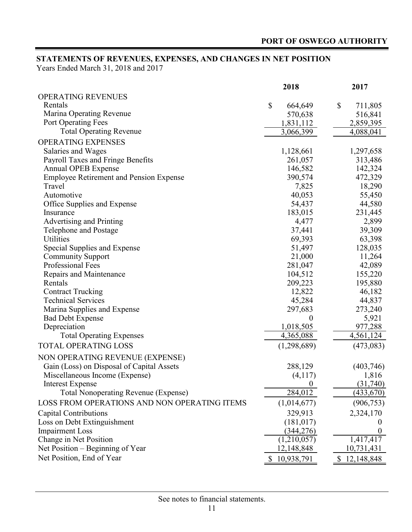### **STATEMENTS OF REVENUES, EXPENSES, AND CHANGES IN NET POSITION**

|                                                | 2018                    | 2017             |
|------------------------------------------------|-------------------------|------------------|
| <b>OPERATING REVENUES</b>                      |                         |                  |
| Rentals                                        | $\mathbb{S}$<br>664,649 | \$<br>711,805    |
| Marina Operating Revenue                       | 570,638                 | 516,841          |
| Port Operating Fees                            | 1,831,112               | 2,859,395        |
| <b>Total Operating Revenue</b>                 | 3,066,399               | 4,088,041        |
| OPERATING EXPENSES                             |                         |                  |
| Salaries and Wages                             | 1,128,661               | 1,297,658        |
| Payroll Taxes and Fringe Benefits              | 261,057                 | 313,486          |
| Annual OPEB Expense                            | 146,582                 | 142,324          |
| <b>Employee Retirement and Pension Expense</b> | 390,574                 | 472,329          |
| Travel                                         | 7,825                   | 18,290           |
| Automotive                                     | 40,053                  | 55,450           |
| Office Supplies and Expense                    | 54,437                  | 44,580           |
| Insurance                                      | 183,015                 | 231,445          |
| Advertising and Printing                       | 4,477                   | 2,899            |
| Telephone and Postage                          | 37,441                  | 39,309           |
| <b>Utilities</b>                               | 69,393                  | 63,398           |
| Special Supplies and Expense                   | 51,497                  | 128,035          |
| <b>Community Support</b>                       | 21,000                  | 11,264           |
| Professional Fees                              | 281,047                 | 42,089           |
| Repairs and Maintenance                        | 104,512                 | 155,220          |
| Rentals                                        | 209,223                 | 195,880          |
| <b>Contract Trucking</b>                       | 12,822                  | 46,182           |
| <b>Technical Services</b>                      | 45,284                  | 44,837           |
| Marina Supplies and Expense                    | 297,683                 | 273,240          |
| <b>Bad Debt Expense</b>                        | 0                       | 5,921            |
| Depreciation                                   | 1,018,505               | 977,288          |
| <b>Total Operating Expenses</b>                | 4,365,088               | 4,561,124        |
| <b>TOTAL OPERATING LOSS</b>                    | (1,298,689)             | (473,083)        |
| NON OPERATING REVENUE (EXPENSE)                |                         |                  |
| Gain (Loss) on Disposal of Capital Assets      | 288,129                 | (403,746)        |
| Miscellaneous Income (Expense)                 | (4,117)                 | 1,816            |
| <b>Interest Expense</b>                        | $\boldsymbol{0}$        | (31,740)         |
| Total Nonoperating Revenue (Expense)           | 284,012                 | (433, 670)       |
| LOSS FROM OPERATIONS AND NON OPERATING ITEMS   | (1,014,677)             | (906, 753)       |
| <b>Capital Contributions</b>                   | 329,913                 | 2,324,170        |
| Loss on Debt Extinguishment                    | (181, 017)              |                  |
| <b>Impairment Loss</b>                         | (344, 276)              | $\boldsymbol{0}$ |
| Change in Net Position                         | (1,210,057)             | 1,417,417        |
| Net Position – Beginning of Year               | 12,148,848              | 10,731,431       |
| Net Position, End of Year                      | \$10,938,791            | \$12,148,848     |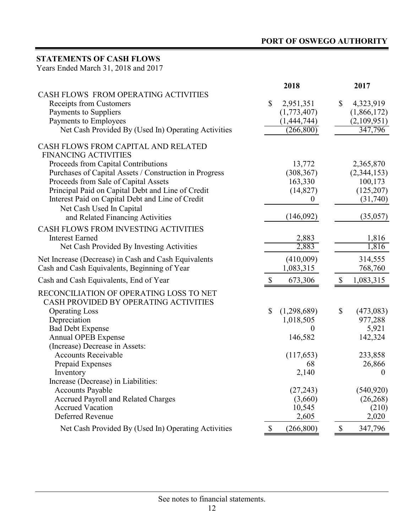#### **STATEMENTS OF CASH FLOWS**

|                                                                                  | 2018                        | 2017                      |
|----------------------------------------------------------------------------------|-----------------------------|---------------------------|
| CASH FLOWS FROM OPERATING ACTIVITIES                                             |                             |                           |
| <b>Receipts from Customers</b>                                                   | \$<br>2,951,351             | $\mathbb{S}$<br>4,323,919 |
| Payments to Suppliers                                                            | (1,773,407)                 | (1,866,172)               |
| Payments to Employees                                                            | (1,444,744)                 | (2,109,951)               |
| Net Cash Provided By (Used In) Operating Activities                              | (266, 800)                  | 347,796                   |
| CASH FLOWS FROM CAPITAL AND RELATED<br><b>FINANCING ACTIVITIES</b>               |                             |                           |
| Proceeds from Capital Contributions                                              | 13,772                      | 2,365,870                 |
| Purchases of Capital Assets / Construction in Progress                           | (308, 367)                  | (2,344,153)               |
| Proceeds from Sale of Capital Assets                                             | 163,330                     | 100,173                   |
| Principal Paid on Capital Debt and Line of Credit                                | (14, 827)                   | (125,207)                 |
| Interest Paid on Capital Debt and Line of Credit                                 | $\theta$                    | (31,740)                  |
| Net Cash Used In Capital<br>and Related Financing Activities                     | (146,092)                   | (35,057)                  |
| CASH FLOWS FROM INVESTING ACTIVITIES<br><b>Interest Earned</b>                   |                             |                           |
| Net Cash Provided By Investing Activities                                        | 2,883<br>2,883              | 1,816<br>1,816            |
|                                                                                  |                             |                           |
| Net Increase (Decrease) in Cash and Cash Equivalents                             | (410,009)                   | 314,555                   |
| Cash and Cash Equivalents, Beginning of Year                                     | 1,083,315                   | 768,760                   |
| Cash and Cash Equivalents, End of Year                                           | $\mathbb S$<br>673,306      | $\mathbb S$<br>1,083,315  |
| RECONCILIATION OF OPERATING LOSS TO NET<br>CASH PROVIDED BY OPERATING ACTIVITIES |                             |                           |
| <b>Operating Loss</b>                                                            | \$<br>(1,298,689)           | \$<br>(473,083)           |
| Depreciation                                                                     | 1,018,505                   | 977,288                   |
| <b>Bad Debt Expense</b>                                                          | $\theta$                    | 5,921                     |
| <b>Annual OPEB Expense</b><br>(Increase) Decrease in Assets:                     | 146,582                     | 142,324                   |
| <b>Accounts Receivable</b>                                                       | (117, 653)                  | 233,858                   |
| Prepaid Expenses                                                                 | 68                          | 26,866                    |
| Inventory                                                                        | 2,140                       | $\boldsymbol{0}$          |
| Increase (Decrease) in Liabilities:                                              |                             |                           |
| <b>Accounts Payable</b>                                                          | (27, 243)                   | (540, 920)                |
| Accrued Payroll and Related Charges                                              | (3,660)                     | (26, 268)                 |
| <b>Accrued Vacation</b>                                                          | 10,545                      | (210)                     |
| Deferred Revenue                                                                 | 2,605                       | 2,020                     |
| Net Cash Provided By (Used In) Operating Activities                              | $\mathcal{S}$<br>(266, 800) | $\mathbb{S}$<br>347,796   |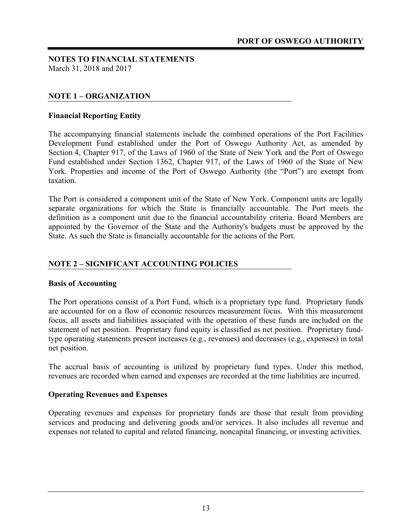#### **NOTE 1 – ORGANIZATION**

#### **Financial Reporting Entity**

The accompanying financial statements include the combined operations of the Port Facilities Development Fund established under the Port of Oswego Authority Act, as amended by Section 4, Chapter 917, of the Laws of 1960 of the State of New York and the Port of Oswego Fund established under Section 1362, Chapter 917, of the Laws of 1960 of the State of New York. Properties and income of the Port of Oswego Authority (the "Port") are exempt from taxation.

The Port is considered a component unit of the State of New York. Component units are legally separate organizations for which the State is financially accountable. The Port meets the definition as a component unit due to the financial accountability criteria. Board Members are appointed by the Governor of the State and the Authority's budgets must be approved by the State. As such the State is financially accountable for the actions of the Port.

#### **NOTE 2 – SIGNIFICANT ACCOUNTING POLICIES**

#### **Basis of Accounting**

The Port operations consist of a Port Fund, which is a proprietary type fund. Proprietary funds are accounted for on a flow of economic resources measurement focus. With this measurement focus, all assets and liabilities associated with the operation of these funds are included on the statement of net position. Proprietary fund equity is classified as net position. Proprietary fundtype operating statements present increases (e.g., revenues) and decreases (e.g., expenses) in total net position.

The accrual basis of accounting is utilized by proprietary fund types. Under this method, revenues are recorded when earned and expenses are recorded at the time liabilities are incurred.

#### **Operating Revenues and Expenses**

Operating revenues and expenses for proprietary funds are those that result from providing services and producing and delivering goods and/or services. It also includes all revenue and expenses not related to capital and related financing, noncapital financing, or investing activities.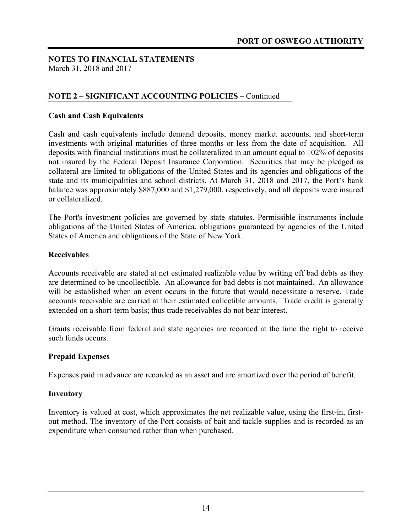#### **NOTE 2 – SIGNIFICANT ACCOUNTING POLICIES –** Continued

#### **Cash and Cash Equivalents**

Cash and cash equivalents include demand deposits, money market accounts, and short-term investments with original maturities of three months or less from the date of acquisition. All deposits with financial institutions must be collateralized in an amount equal to 102% of deposits not insured by the Federal Deposit Insurance Corporation. Securities that may be pledged as collateral are limited to obligations of the United States and its agencies and obligations of the state and its municipalities and school districts. At March 31, 2018 and 2017, the Port's bank balance was approximately \$887,000 and \$1,279,000, respectively, and all deposits were insured or collateralized.

The Port's investment policies are governed by state statutes. Permissible instruments include obligations of the United States of America, obligations guaranteed by agencies of the United States of America and obligations of the State of New York.

#### **Receivables**

Accounts receivable are stated at net estimated realizable value by writing off bad debts as they are determined to be uncollectible. An allowance for bad debts is not maintained. An allowance will be established when an event occurs in the future that would necessitate a reserve. Trade accounts receivable are carried at their estimated collectible amounts. Trade credit is generally extended on a short-term basis; thus trade receivables do not bear interest.

Grants receivable from federal and state agencies are recorded at the time the right to receive such funds occurs.

#### **Prepaid Expenses**

Expenses paid in advance are recorded as an asset and are amortized over the period of benefit.

#### **Inventory**

Inventory is valued at cost, which approximates the net realizable value, using the first-in, firstout method. The inventory of the Port consists of bait and tackle supplies and is recorded as an expenditure when consumed rather than when purchased.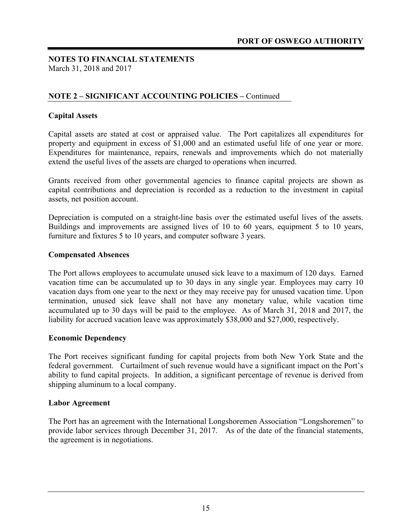#### **NOTE 2 – SIGNIFICANT ACCOUNTING POLICIES –** Continued

#### **Capital Assets**

Capital assets are stated at cost or appraised value. The Port capitalizes all expenditures for property and equipment in excess of \$1,000 and an estimated useful life of one year or more. Expenditures for maintenance, repairs, renewals and improvements which do not materially extend the useful lives of the assets are charged to operations when incurred.

Grants received from other governmental agencies to finance capital projects are shown as capital contributions and depreciation is recorded as a reduction to the investment in capital assets, net position account.

Depreciation is computed on a straight-line basis over the estimated useful lives of the assets. Buildings and improvements are assigned lives of 10 to 60 years, equipment 5 to 10 years, furniture and fixtures 5 to 10 years, and computer software 3 years.

#### **Compensated Absences**

The Port allows employees to accumulate unused sick leave to a maximum of 120 days. Earned vacation time can be accumulated up to 30 days in any single year. Employees may carry 10 vacation days from one year to the next or they may receive pay for unused vacation time. Upon termination, unused sick leave shall not have any monetary value, while vacation time accumulated up to 30 days will be paid to the employee. As of March 31, 2018 and 2017, the liability for accrued vacation leave was approximately \$38,000 and \$27,000, respectively.

#### **Economic Dependency**

The Port receives significant funding for capital projects from both New York State and the federal government. Curtailment of such revenue would have a significant impact on the Port's ability to fund capital projects. In addition, a significant percentage of revenue is derived from shipping aluminum to a local company.

#### **Labor Agreement**

The Port has an agreement with the International Longshoremen Association "Longshoremen" to provide labor services through December 31, 2017. As of the date of the financial statements, the agreement is in negotiations.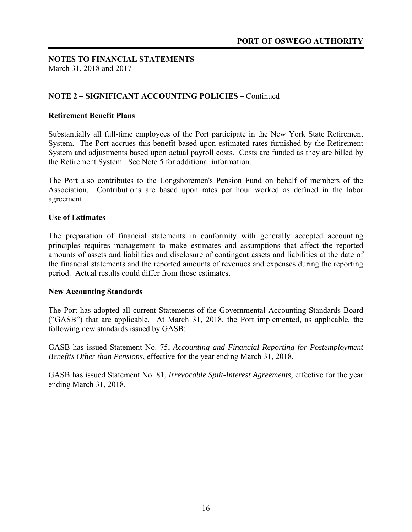#### **NOTE 2 – SIGNIFICANT ACCOUNTING POLICIES –** Continued

#### **Retirement Benefit Plans**

Substantially all full-time employees of the Port participate in the New York State Retirement System. The Port accrues this benefit based upon estimated rates furnished by the Retirement System and adjustments based upon actual payroll costs. Costs are funded as they are billed by the Retirement System. See Note 5 for additional information.

The Port also contributes to the Longshoremen's Pension Fund on behalf of members of the Association. Contributions are based upon rates per hour worked as defined in the labor agreement.

#### **Use of Estimates**

The preparation of financial statements in conformity with generally accepted accounting principles requires management to make estimates and assumptions that affect the reported amounts of assets and liabilities and disclosure of contingent assets and liabilities at the date of the financial statements and the reported amounts of revenues and expenses during the reporting period. Actual results could differ from those estimates.

#### **New Accounting Standards**

The Port has adopted all current Statements of the Governmental Accounting Standards Board ("GASB") that are applicable. At March 31, 2018, the Port implemented, as applicable, the following new standards issued by GASB:

GASB has issued Statement No. 75, *Accounting and Financial Reporting for Postemployment Benefits Other than Pensions*, effective for the year ending March 31, 2018.

GASB has issued Statement No. 81, *Irrevocable Split-Interest Agreements*, effective for the year ending March 31, 2018.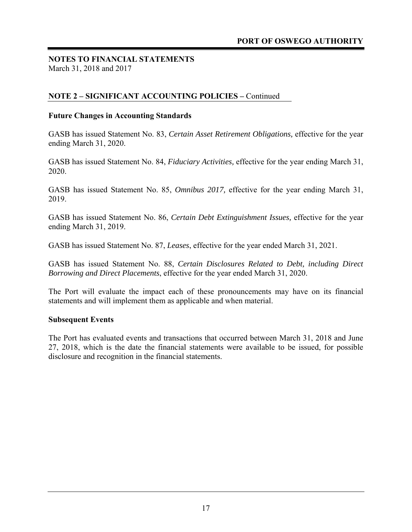#### **NOTE 2 – SIGNIFICANT ACCOUNTING POLICIES –** Continued

#### **Future Changes in Accounting Standards**

GASB has issued Statement No. 83, *Certain Asset Retirement Obligations,* effective for the year ending March 31, 2020.

GASB has issued Statement No. 84, *Fiduciary Activities,* effective for the year ending March 31, 2020.

GASB has issued Statement No. 85, *Omnibus 2017,* effective for the year ending March 31, 2019.

GASB has issued Statement No. 86, *Certain Debt Extinguishment Issues,* effective for the year ending March 31, 2019.

GASB has issued Statement No. 87, *Leases*, effective for the year ended March 31, 2021.

GASB has issued Statement No. 88, *Certain Disclosures Related to Debt, including Direct Borrowing and Direct Placements*, effective for the year ended March 31, 2020.

The Port will evaluate the impact each of these pronouncements may have on its financial statements and will implement them as applicable and when material.

#### **Subsequent Events**

The Port has evaluated events and transactions that occurred between March 31, 2018 and June 27, 2018, which is the date the financial statements were available to be issued, for possible disclosure and recognition in the financial statements.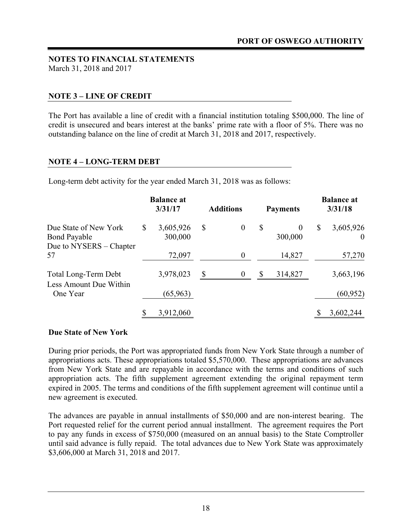#### **NOTE 3 – LINE OF CREDIT**

The Port has available a line of credit with a financial institution totaling \$500,000. The line of credit is unsecured and bears interest at the banks' prime rate with a floor of 5%. There was no outstanding balance on the line of credit at March 31, 2018 and 2017, respectively.

#### **NOTE 4 – LONG-TERM DEBT**

Long-term debt activity for the year ended March 31, 2018 was as follows:

|                                                                         |   | <b>Balance at</b><br>3/31/17 | <b>Additions</b> |                  | <b>Payments</b> |                     | <b>Balance</b> at<br>3/31/18 |
|-------------------------------------------------------------------------|---|------------------------------|------------------|------------------|-----------------|---------------------|------------------------------|
| Due State of New York<br><b>Bond Payable</b><br>Due to NYSERS – Chapter | S | 3,605,926<br>300,000         | \$               | $\theta$         | \$              | $\theta$<br>300,000 | \$<br>3,605,926<br>$\theta$  |
| 57                                                                      |   | 72,097                       |                  | $\boldsymbol{0}$ |                 | 14,827              | 57,270                       |
| Total Long-Term Debt<br>Less Amount Due Within                          |   | 3,978,023                    | \$               | $\boldsymbol{0}$ | \$              | 314,827             | 3,663,196                    |
| One Year                                                                |   | (65, 963)                    |                  |                  |                 |                     | (60, 952)                    |
|                                                                         |   | 3,912,060                    |                  |                  |                 |                     | 3,602,244                    |

#### **Due State of New York**

During prior periods, the Port was appropriated funds from New York State through a number of appropriations acts. These appropriations totaled \$5,570,000. These appropriations are advances from New York State and are repayable in accordance with the terms and conditions of such appropriation acts. The fifth supplement agreement extending the original repayment term expired in 2005. The terms and conditions of the fifth supplement agreement will continue until a new agreement is executed.

The advances are payable in annual installments of \$50,000 and are non-interest bearing. The Port requested relief for the current period annual installment. The agreement requires the Port to pay any funds in excess of \$750,000 (measured on an annual basis) to the State Comptroller until said advance is fully repaid. The total advances due to New York State was approximately \$3,606,000 at March 31, 2018 and 2017.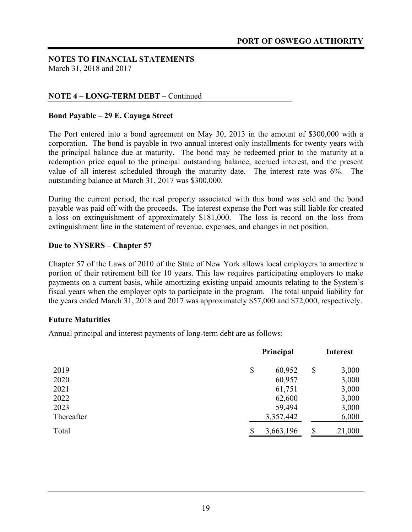#### **NOTE 4 – LONG-TERM DEBT –** Continued

#### **Bond Payable – 29 E. Cayuga Street**

The Port entered into a bond agreement on May 30, 2013 in the amount of \$300,000 with a corporation. The bond is payable in two annual interest only installments for twenty years with the principal balance due at maturity. The bond may be redeemed prior to the maturity at a redemption price equal to the principal outstanding balance, accrued interest, and the present value of all interest scheduled through the maturity date. The interest rate was 6%. The outstanding balance at March 31, 2017 was \$300,000.

During the current period, the real property associated with this bond was sold and the bond payable was paid off with the proceeds. The interest expense the Port was still liable for created a loss on extinguishment of approximately \$181,000. The loss is record on the loss from extinguishment line in the statement of revenue, expenses, and changes in net position.

#### **Due to NYSERS – Chapter 57**

Chapter 57 of the Laws of 2010 of the State of New York allows local employers to amortize a portion of their retirement bill for 10 years. This law requires participating employers to make payments on a current basis, while amortizing existing unpaid amounts relating to the System's fiscal years when the employer opts to participate in the program. The total unpaid liability for the years ended March 31, 2018 and 2017 was approximately \$57,000 and \$72,000, respectively.

#### **Future Maturities**

Annual principal and interest payments of long-term debt are as follows:

|            |    | Principal | <b>Interest</b> |        |  |
|------------|----|-----------|-----------------|--------|--|
| 2019       | \$ | 60,952    | \$              | 3,000  |  |
| 2020       |    | 60,957    |                 | 3,000  |  |
| 2021       |    | 61,751    |                 | 3,000  |  |
| 2022       |    | 62,600    |                 | 3,000  |  |
| 2023       |    | 59,494    |                 | 3,000  |  |
| Thereafter |    | 3,357,442 |                 | 6,000  |  |
| Total      |    | 3,663,196 | ╓               | 21,000 |  |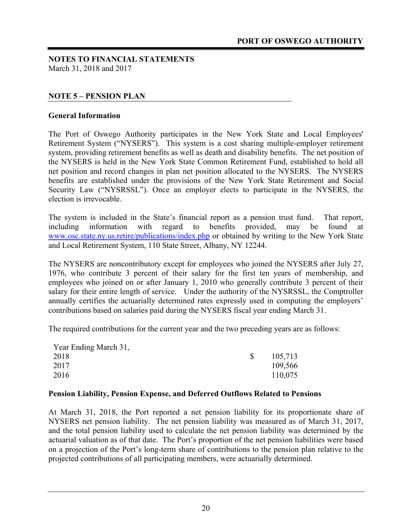#### **NOTE 5 – PENSION PLAN**

#### **General Information**

The Port of Oswego Authority participates in the New York State and Local Employees' Retirement System ("NYSERS"). This system is a cost sharing multiple-employer retirement system, providing retirement benefits as well as death and disability benefits. The net position of the NYSERS is held in the New York State Common Retirement Fund, established to hold all net position and record changes in plan net position allocated to the NYSERS. The NYSERS benefits are established under the provisions of the New York State Retirement and Social Security Law ("NYSRSSL"). Once an employer elects to participate in the NYSERS, the election is irrevocable.

The system is included in the State's financial report as a pension trust fund. That report, including information with regard to benefits provided, may be found at www.osc.state.ny.us.retire/publications/index.php or obtained by writing to the New York State and Local Retirement System, 110 State Street, Albany, NY 12244.

The NYSERS are noncontributory except for employees who joined the NYSERS after July 27, 1976, who contribute 3 percent of their salary for the first ten years of membership, and employees who joined on or after January 1, 2010 who generally contribute 3 percent of their salary for their entire length of service. Under the authority of the NYSRSSL, the Comptroller annually certifies the actuarially determined rates expressly used in computing the employers' contributions based on salaries paid during the NYSERS fiscal year ending March 31.

The required contributions for the current year and the two preceding years are as follows:

| Year Ending March 31, |         |
|-----------------------|---------|
| 2018                  | 105,713 |
| 2017                  | 109,566 |
| 2016                  | 110,075 |

#### **Pension Liability, Pension Expense, and Deferred Outflows Related to Pensions**

At March 31, 2018, the Port reported a net pension liability for its proportionate share of NYSERS net pension liability. The net pension liability was measured as of March 31, 2017, and the total pension liability used to calculate the net pension liability was determined by the actuarial valuation as of that date. The Port's proportion of the net pension liabilities were based on a projection of the Port's long-term share of contributions to the pension plan relative to the projected contributions of all participating members, were actuarially determined.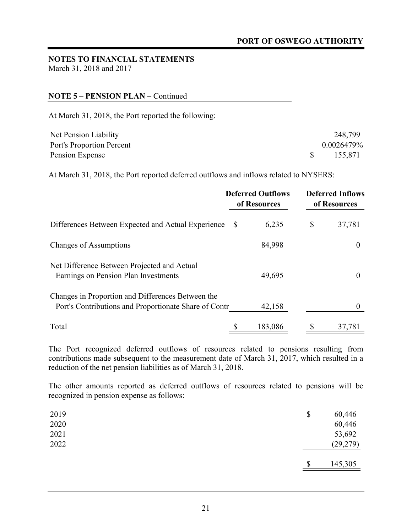#### **NOTE 5 – PENSION PLAN – Continued**

At March 31, 2018, the Port reported the following:

| Net Pension Liability     | 248,799    |
|---------------------------|------------|
| Port's Proportion Percent | 0.0026479% |
| Pension Expense           | 155.871    |

At March 31, 2018, the Port reported deferred outflows and inflows related to NYSERS:

|                                                                                                            |    | <b>Deferred Outflows</b><br>of Resources | <b>Deferred Inflows</b><br>of Resources |          |  |
|------------------------------------------------------------------------------------------------------------|----|------------------------------------------|-----------------------------------------|----------|--|
| Differences Between Expected and Actual Experience \$                                                      |    | 6,235                                    | \$                                      | 37,781   |  |
| Changes of Assumptions                                                                                     |    | 84,998                                   |                                         | $\theta$ |  |
| Net Difference Between Projected and Actual<br>Earnings on Pension Plan Investments                        |    | 49,695                                   |                                         | $\theta$ |  |
| Changes in Proportion and Differences Between the<br>Port's Contributions and Proportionate Share of Contr |    | 42,158                                   |                                         |          |  |
| Total                                                                                                      | \$ | 183,086                                  | \$                                      | 37,781   |  |

The Port recognized deferred outflows of resources related to pensions resulting from contributions made subsequent to the measurement date of March 31, 2017, which resulted in a reduction of the net pension liabilities as of March 31, 2018.

The other amounts reported as deferred outflows of resources related to pensions will be recognized in pension expense as follows:

| 2019<br>2020 | \$<br>60,446<br>60,446 |
|--------------|------------------------|
| 2021         | 53,692                 |
| 2022         | (29, 279)              |
|              | \$<br>145,305          |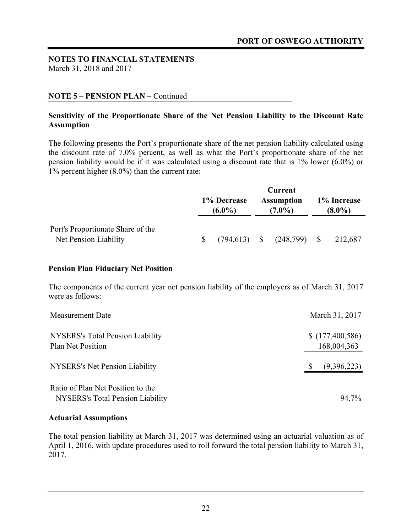#### **NOTE 5 – PENSION PLAN –** Continued

#### **Sensitivity of the Proportionate Share of the Net Pension Liability to the Discount Rate Assumption**

The following presents the Port's proportionate share of the net pension liability calculated using the discount rate of 7.0% percent, as well as what the Port's proportionate share of the net pension liability would be if it was calculated using a discount rate that is 1% lower (6.0%) or 1% percent higher (8.0%) than the current rate:

| 1% Decrease<br>$(6.0\%)$ |  | <b>Assumption</b><br>$(7.0\%)$ |                                              | 1% Increase<br>$(8.0\%)$ |  |
|--------------------------|--|--------------------------------|----------------------------------------------|--------------------------|--|
|                          |  |                                |                                              | 212,687                  |  |
|                          |  |                                | <b>Current</b><br>$(794,613)$ \$ $(248,799)$ | $\sim$ \$                |  |

#### **Pension Plan Fiduciary Net Position**

The components of the current year net pension liability of the employers as of March 31, 2017 were as follows:

| Measurement Date                                                      | March 31, 2017                 |
|-----------------------------------------------------------------------|--------------------------------|
| NYSERS's Total Pension Liability<br><b>Plan Net Position</b>          | (177, 400, 586)<br>168,004,363 |
| NYSERS's Net Pension Liability                                        | (9,396,223)                    |
| Ratio of Plan Net Position to the<br>NYSERS's Total Pension Liability | 94.7%                          |

#### **Actuarial Assumptions**

The total pension liability at March 31, 2017 was determined using an actuarial valuation as of April 1, 2016, with update procedures used to roll forward the total pension liability to March 31, 2017.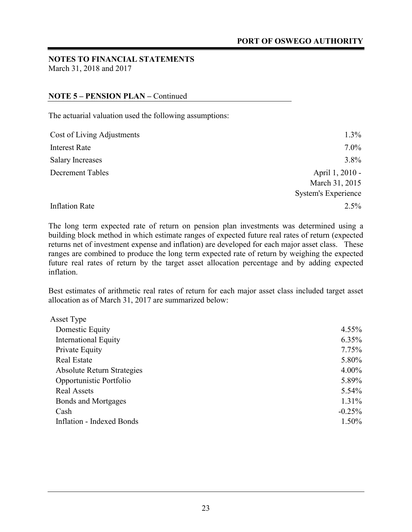#### **NOTE 5 – PENSION PLAN – Continued**

The actuarial valuation used the following assumptions:

| Cost of Living Adjustments | $1.3\%$                    |
|----------------------------|----------------------------|
| <b>Interest Rate</b>       | $7.0\%$                    |
| <b>Salary Increases</b>    | 3.8%                       |
| Decrement Tables           | April 1, 2010 -            |
|                            | March 31, 2015             |
|                            | <b>System's Experience</b> |
| <b>Inflation Rate</b>      | $2.5\%$                    |

The long term expected rate of return on pension plan investments was determined using a building block method in which estimate ranges of expected future real rates of return (expected returns net of investment expense and inflation) are developed for each major asset class. These ranges are combined to produce the long term expected rate of return by weighing the expected future real rates of return by the target asset allocation percentage and by adding expected inflation.

Best estimates of arithmetic real rates of return for each major asset class included target asset allocation as of March 31, 2017 are summarized below:

| Asset Type                       |          |
|----------------------------------|----------|
| Domestic Equity                  | $4.55\%$ |
| <b>International Equity</b>      | $6.35\%$ |
| Private Equity                   | 7.75%    |
| <b>Real Estate</b>               | 5.80%    |
| Absolute Return Strategies       | $4.00\%$ |
| Opportunistic Portfolio          | 5.89%    |
| <b>Real Assets</b>               | $5.54\%$ |
| <b>Bonds and Mortgages</b>       | 1.31%    |
| Cash                             | $-0.25%$ |
| <b>Inflation - Indexed Bonds</b> | 1.50%    |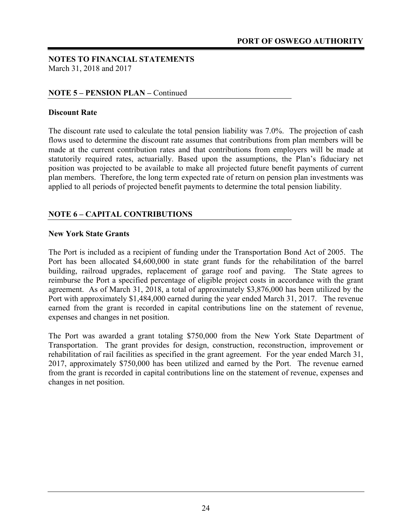#### **NOTE 5 – PENSION PLAN –** Continued

#### **Discount Rate**

The discount rate used to calculate the total pension liability was 7.0%. The projection of cash flows used to determine the discount rate assumes that contributions from plan members will be made at the current contribution rates and that contributions from employers will be made at statutorily required rates, actuarially. Based upon the assumptions, the Plan's fiduciary net position was projected to be available to make all projected future benefit payments of current plan members. Therefore, the long term expected rate of return on pension plan investments was applied to all periods of projected benefit payments to determine the total pension liability.

#### **NOTE 6 – CAPITAL CONTRIBUTIONS**

#### **New York State Grants**

The Port is included as a recipient of funding under the Transportation Bond Act of 2005. The Port has been allocated \$4,600,000 in state grant funds for the rehabilitation of the barrel building, railroad upgrades, replacement of garage roof and paving. The State agrees to reimburse the Port a specified percentage of eligible project costs in accordance with the grant agreement. As of March 31, 2018, a total of approximately \$3,876,000 has been utilized by the Port with approximately \$1,484,000 earned during the year ended March 31, 2017. The revenue earned from the grant is recorded in capital contributions line on the statement of revenue, expenses and changes in net position.

The Port was awarded a grant totaling \$750,000 from the New York State Department of Transportation. The grant provides for design, construction, reconstruction, improvement or rehabilitation of rail facilities as specified in the grant agreement. For the year ended March 31, 2017, approximately \$750,000 has been utilized and earned by the Port. The revenue earned from the grant is recorded in capital contributions line on the statement of revenue, expenses and changes in net position.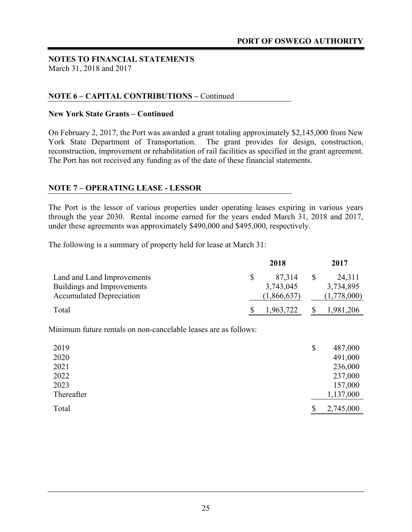#### **NOTE 6 – CAPITAL CONTRIBUTIONS –** Continued

#### **New York State Grants – Continued**

On February 2, 2017, the Port was awarded a grant totaling approximately \$2,145,000 from New York State Department of Transportation. The grant provides for design, construction, reconstruction, improvement or rehabilitation of rail facilities as specified in the grant agreement. The Port has not received any funding as of the date of these financial statements.

#### **NOTE 7 – OPERATING LEASE - LESSOR**

The Port is the lessor of various properties under operating leases expiring in various years through the year 2030. Rental income earned for the years ended March 31, 2018 and 2017, under these agreements was approximately \$490,000 and \$495,000, respectively.

The following is a summary of property held for lease at March 31:

|                                 | 2018        | 2017        |
|---------------------------------|-------------|-------------|
| Land and Land Improvements      | 87,314      | 24,311      |
| Buildings and Improvements      | 3,743,045   | 3,734,895   |
| <b>Accumulated Depreciation</b> | (1,866,637) | (1,778,000) |
| Total                           | 1,963,722   | 1,981,206   |

Minimum future rentals on non-cancelable leases are as follows:

| 2019<br>2020<br>2021<br>2022<br>2023<br>Thereafter | \$<br>487,000<br>491,000<br>236,000<br>237,000<br>157,000<br>1,137,000 |
|----------------------------------------------------|------------------------------------------------------------------------|
| Total                                              | 2,745,000                                                              |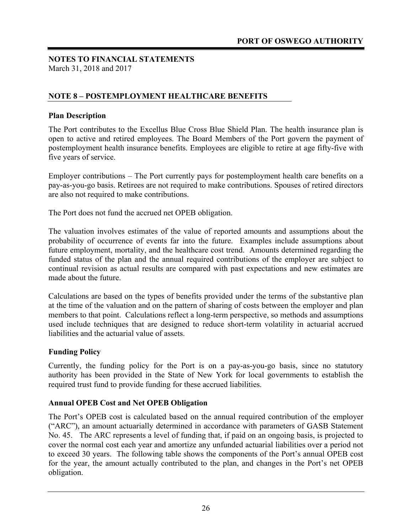#### **NOTE 8 – POSTEMPLOYMENT HEALTHCARE BENEFITS**

#### **Plan Description**

The Port contributes to the Excellus Blue Cross Blue Shield Plan. The health insurance plan is open to active and retired employees. The Board Members of the Port govern the payment of postemployment health insurance benefits. Employees are eligible to retire at age fifty-five with five years of service.

Employer contributions – The Port currently pays for postemployment health care benefits on a pay-as-you-go basis. Retirees are not required to make contributions. Spouses of retired directors are also not required to make contributions.

The Port does not fund the accrued net OPEB obligation.

The valuation involves estimates of the value of reported amounts and assumptions about the probability of occurrence of events far into the future. Examples include assumptions about future employment, mortality, and the healthcare cost trend. Amounts determined regarding the funded status of the plan and the annual required contributions of the employer are subject to continual revision as actual results are compared with past expectations and new estimates are made about the future.

Calculations are based on the types of benefits provided under the terms of the substantive plan at the time of the valuation and on the pattern of sharing of costs between the employer and plan members to that point. Calculations reflect a long-term perspective, so methods and assumptions used include techniques that are designed to reduce short-term volatility in actuarial accrued liabilities and the actuarial value of assets.

#### **Funding Policy**

Currently, the funding policy for the Port is on a pay-as-you-go basis, since no statutory authority has been provided in the State of New York for local governments to establish the required trust fund to provide funding for these accrued liabilities.

#### **Annual OPEB Cost and Net OPEB Obligation**

The Port's OPEB cost is calculated based on the annual required contribution of the employer ("ARC"), an amount actuarially determined in accordance with parameters of GASB Statement No. 45. The ARC represents a level of funding that, if paid on an ongoing basis, is projected to cover the normal cost each year and amortize any unfunded actuarial liabilities over a period not to exceed 30 years. The following table shows the components of the Port's annual OPEB cost for the year, the amount actually contributed to the plan, and changes in the Port's net OPEB obligation.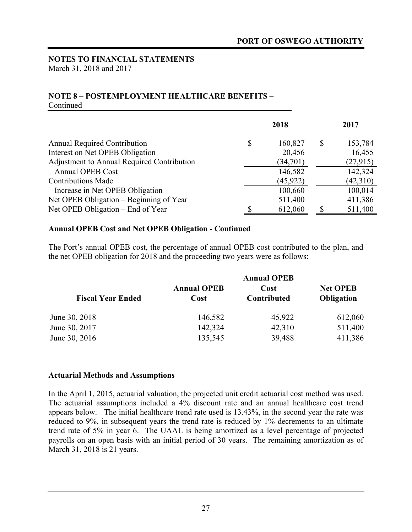## **NOTES TO FINANCIAL STATEMENTS**

March 31, 2018 and 2017

#### **NOTE 8 – POSTEMPLOYMENT HEALTHCARE BENEFITS –**  Continued

|                                            | 2018          |    | 2017      |
|--------------------------------------------|---------------|----|-----------|
| <b>Annual Required Contribution</b>        | \$<br>160,827 | \$ | 153,784   |
| Interest on Net OPEB Obligation            | 20,456        |    | 16,455    |
| Adjustment to Annual Required Contribution | (34,701)      |    | (27, 915) |
| <b>Annual OPEB Cost</b>                    | 146,582       |    | 142,324   |
| <b>Contributions Made</b>                  | (45, 922)     |    | (42,310)  |
| Increase in Net OPEB Obligation            | 100,660       |    | 100,014   |
| Net OPEB Obligation – Beginning of Year    | 511,400       |    | 411,386   |
| Net OPEB Obligation – End of Year          | \$<br>612,060 | S  | 511,400   |

#### **Annual OPEB Cost and Net OPEB Obligation - Continued**

The Port's annual OPEB cost, the percentage of annual OPEB cost contributed to the plan, and the net OPEB obligation for 2018 and the proceeding two years were as follows:

|                          |                            | <b>Annual OPEB</b>  |                                      |  |  |  |
|--------------------------|----------------------------|---------------------|--------------------------------------|--|--|--|
| <b>Fiscal Year Ended</b> | <b>Annual OPEB</b><br>Cost | Cost<br>Contributed | <b>Net OPEB</b><br><b>Obligation</b> |  |  |  |
| June 30, 2018            | 146,582                    | 45,922              | 612,060                              |  |  |  |
| June 30, 2017            | 142,324                    | 42,310              | 511,400                              |  |  |  |
| June 30, 2016            | 135,545                    | 39,488              | 411,386                              |  |  |  |
|                          |                            |                     |                                      |  |  |  |

#### **Actuarial Methods and Assumptions**

In the April 1, 2015, actuarial valuation, the projected unit credit actuarial cost method was used. The actuarial assumptions included a 4% discount rate and an annual healthcare cost trend appears below. The initial healthcare trend rate used is 13.43%, in the second year the rate was reduced to 9%, in subsequent years the trend rate is reduced by 1% decrements to an ultimate trend rate of 5% in year 6. The UAAL is being amortized as a level percentage of projected payrolls on an open basis with an initial period of 30 years. The remaining amortization as of March 31, 2018 is 21 years.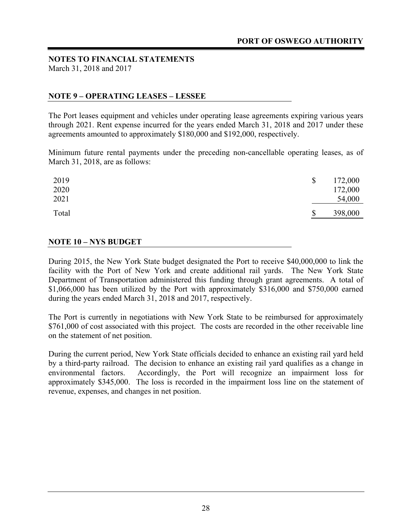## **NOTES TO FINANCIAL STATEMENTS**

March 31, 2018 and 2017

#### **NOTE 9 – OPERATING LEASES – LESSEE**

The Port leases equipment and vehicles under operating lease agreements expiring various years through 2021. Rent expense incurred for the years ended March 31, 2018 and 2017 under these agreements amounted to approximately \$180,000 and \$192,000, respectively.

Minimum future rental payments under the preceding non-cancellable operating leases, as of March 31, 2018, are as follows:

| 2019<br>2020<br>2021 | $\mathbb{S}$ | 172,000<br>172,000<br>54,000 |
|----------------------|--------------|------------------------------|
| Total                | \$           | 398,000                      |

#### **NOTE 10 – NYS BUDGET**

During 2015, the New York State budget designated the Port to receive \$40,000,000 to link the facility with the Port of New York and create additional rail yards. The New York State Department of Transportation administered this funding through grant agreements. A total of \$1,066,000 has been utilized by the Port with approximately \$316,000 and \$750,000 earned during the years ended March 31, 2018 and 2017, respectively.

The Port is currently in negotiations with New York State to be reimbursed for approximately \$761,000 of cost associated with this project. The costs are recorded in the other receivable line on the statement of net position.

During the current period, New York State officials decided to enhance an existing rail yard held by a third-party railroad. The decision to enhance an existing rail yard qualifies as a change in environmental factors. Accordingly, the Port will recognize an impairment loss for approximately \$345,000. The loss is recorded in the impairment loss line on the statement of revenue, expenses, and changes in net position.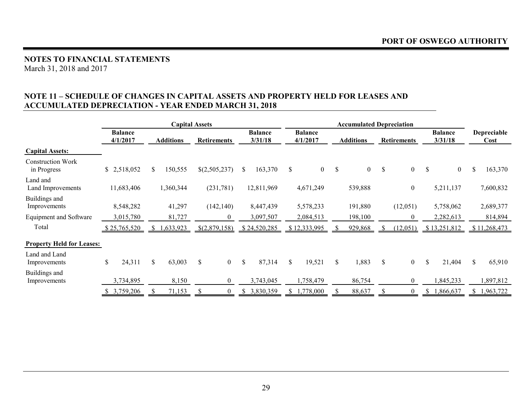## **NOTES TO FINANCIAL STATEMENTS**

March 31, 2018 and 2017

#### **NOTE 11 – SCHEDULE OF CHANGES IN CAPITAL ASSETS AND PROPERTY HELD FOR LEASES AND ACCUMULATED DEPRECIATION - YEAR ENDED MARCH 31, 2018**

|                                         | <b>Capital Assets</b>      |                         |                      |                           |                            |                                                                    |                                |                           |                     |
|-----------------------------------------|----------------------------|-------------------------|----------------------|---------------------------|----------------------------|--------------------------------------------------------------------|--------------------------------|---------------------------|---------------------|
|                                         | <b>Balance</b><br>4/1/2017 | <b>Additions</b>        | <b>Retirements</b>   | <b>Balance</b><br>3/31/18 | <b>Balance</b><br>4/1/2017 | <b>Accumulated Depreciation</b><br>Additions<br><b>Retirements</b> |                                | <b>Balance</b><br>3/31/18 | Depreciable<br>Cost |
| <b>Capital Assets:</b>                  |                            |                         |                      |                           |                            |                                                                    |                                |                           |                     |
| <b>Construction Work</b><br>in Progress | \$2,518,052                | S.<br>150,555           | \$(2,505,237)        | 163,370<br><sup>\$</sup>  | \$<br>$\overline{0}$       | $\mathbf{0}$<br>\$                                                 | \$<br>$\overline{0}$           | \$<br>$\overline{0}$      | \$<br>163,370       |
| Land and<br>Land Improvements           | 11,683,406                 | 1,360,344               | (231,781)            | 12,811,969                | 4,671,249                  | 539,888                                                            | $\boldsymbol{0}$               | 5,211,137                 | 7,600,832           |
| Buildings and<br>Improvements           | 8,548,282                  | 41,297                  | (142, 140)           | 8,447,439                 | 5,578,233                  | 191,880                                                            | (12,051)                       | 5,758,062                 | 2,689,377           |
| <b>Equipment and Software</b>           | 3,015,780                  | 81,727                  | 0                    | 3,097,507                 | 2,084,513                  | 198,100                                                            | $\theta$                       | 2,282,613                 | 814,894             |
| Total                                   | \$25,765,520               | ,633,923                | \$(2,879,158)        | \$24,520,285              | \$12,333,995               | 929,868                                                            | (12,051)                       | \$13,251,812              | \$11,268,473        |
| <b>Property Held for Leases:</b>        |                            |                         |                      |                           |                            |                                                                    |                                |                           |                     |
| Land and Land<br>Improvements           | \$<br>24,311               | <sup>\$</sup><br>63,003 | \$<br>$\overline{0}$ | $\mathbb{S}$<br>87,314    | <sup>\$</sup><br>19,521    | \$<br>1,883                                                        | $\mathbb{S}$<br>$\overline{0}$ | <sup>\$</sup><br>21,404   | \$.<br>65,910       |
| Buildings and<br>Improvements           | 3,734,895                  | 8,150                   | $\theta$             | 3,743,045                 | 1,758,479                  | 86,754                                                             | $\theta$                       | 1,845,233                 | 1,897,812           |
|                                         | 3,759,206                  | 71,153                  |                      | 3,830,359<br>S            | 1,778,000                  | 88,637                                                             | $\theta$                       | 1,866,637<br>\$           | \$<br>1,963,722     |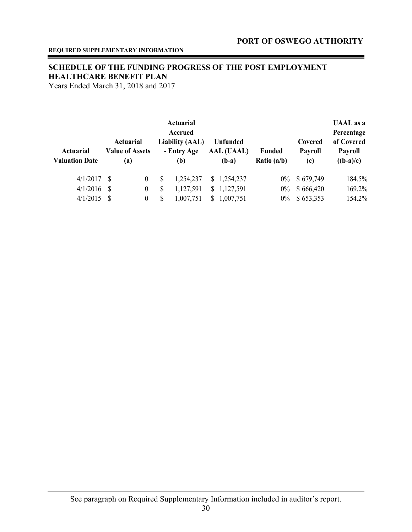#### **SCHEDULE OF THE FUNDING PROGRESS OF THE POST EMPLOYMENT HEALTHCARE BENEFIT PLAN**

| <b>Actuarial</b><br><b>Valuation Date</b> |      | <b>Actuarial</b><br><b>Value of Assets</b><br>(a) |    | <b>Actuarial</b><br>Accrued<br><b>Liability (AAL)</b><br>- Entry Age<br>(b) |    | Unfunded<br><b>AAL (UAAL)</b><br>$(b-a)$ | <b>Funded</b><br>Ratio $(a/b)$ | Covered<br><b>Payroll</b><br>(c) | <b>UAAL</b> as a<br>Percentage<br>of Covered<br><b>Payroll</b><br>$((b-a)/c)$ |
|-------------------------------------------|------|---------------------------------------------------|----|-----------------------------------------------------------------------------|----|------------------------------------------|--------------------------------|----------------------------------|-------------------------------------------------------------------------------|
| 4/1/2017                                  | - \$ | 0                                                 | S  | 1,254,237                                                                   |    | \$1,254,237                              | $0\%$                          | \$679,749                        | 184.5%                                                                        |
| 4/1/2016                                  | -S   | 0                                                 | \$ | 1,127,591                                                                   |    | \$1,127,591                              | $0\%$                          | \$666,420                        | 169.2%                                                                        |
| 4/1/2015                                  |      | $\theta$                                          | \$ | 1,007,751                                                                   | S. | 1,007,751                                | $0\%$                          | \$653,353                        | 154.2%                                                                        |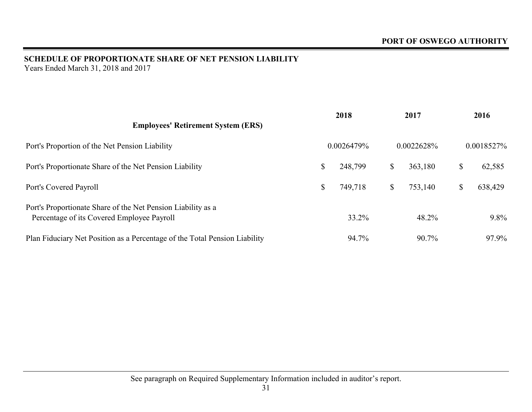### **SCHEDULE OF PROPORTIONATE SHARE OF NET PENSION LIABILITY**

| <b>Employees' Retirement System (ERS)</b>                                                                  |            | 2018    | 2017       |         |              | 2016    |
|------------------------------------------------------------------------------------------------------------|------------|---------|------------|---------|--------------|---------|
| Port's Proportion of the Net Pension Liability                                                             | 0.0026479% |         | 0.0022628% |         | 0.0018527%   |         |
| Port's Proportionate Share of the Net Pension Liability                                                    | \$         | 248,799 | \$         | 363,180 | $\mathbb{S}$ | 62,585  |
| Port's Covered Payroll                                                                                     | \$         | 749,718 | \$         | 753,140 | \$           | 638,429 |
| Port's Proportionate Share of the Net Pension Liability as a<br>Percentage of its Covered Employee Payroll |            | 33.2%   |            | 48.2%   |              | 9.8%    |
| Plan Fiduciary Net Position as a Percentage of the Total Pension Liability                                 |            | 94.7%   |            | 90.7%   |              | 97.9%   |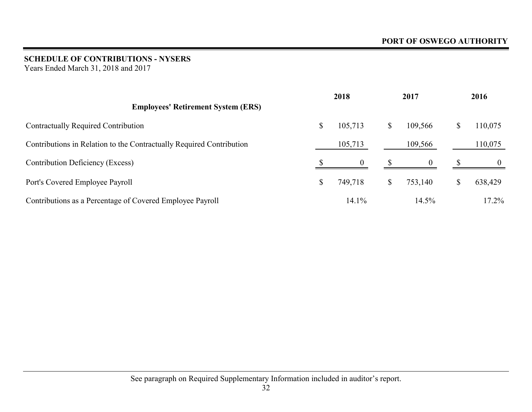#### **SCHEDULE OF CONTRIBUTIONS - NYSERS**

|                                                                      | 2018 |         | 2017 |         | 2016 |         |
|----------------------------------------------------------------------|------|---------|------|---------|------|---------|
| <b>Employees' Retirement System (ERS)</b>                            |      |         |      |         |      |         |
| <b>Contractually Required Contribution</b>                           | \$   | 105,713 | \$   | 109,566 |      | 110,075 |
| Contributions in Relation to the Contractually Required Contribution |      | 105,713 |      | 109,566 |      | 110,075 |
| Contribution Deficiency (Excess)                                     |      |         |      |         |      |         |
| Port's Covered Employee Payroll                                      | S    | 749,718 | \$   | 753,140 | S    | 638,429 |
| Contributions as a Percentage of Covered Employee Payroll            |      | 14.1%   |      | 14.5%   |      | 17.2%   |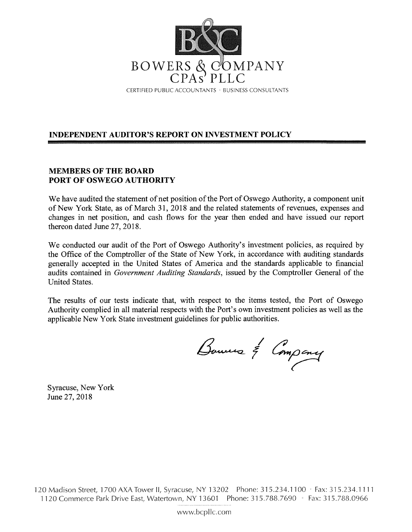

### **INDEPENDENT AUDITOR'S REPORT ON INVESTMENT POLICY**

#### **MEMBERS OF THE BOARD** PORT OF OSWEGO AUTHORITY

We have audited the statement of net position of the Port of Oswego Authority, a component unit of New York State, as of March 31, 2018 and the related statements of revenues, expenses and changes in net position, and cash flows for the year then ended and have issued our report thereon dated June 27, 2018.

We conducted our audit of the Port of Oswego Authority's investment policies, as required by the Office of the Comptroller of the State of New York, in accordance with auditing standards generally accepted in the United States of America and the standards applicable to financial audits contained in Government Auditing Standards, issued by the Comptroller General of the **United States.** 

The results of our tests indicate that, with respect to the items tested, the Port of Oswego Authority complied in all material respects with the Port's own investment policies as well as the applicable New York State investment guidelines for public authorities.

Bouwers & Company

Syracuse, New York June 27, 2018

120 Madison Street, 1700 AXA Tower II, Syracuse, NY 13202 Phone: 315.234.1100 • Fax: 315.234.1111 1120 Commerce Park Drive East, Watertown, NY 13601 Phone: 315.788.7690 • Fax: 315.788.0966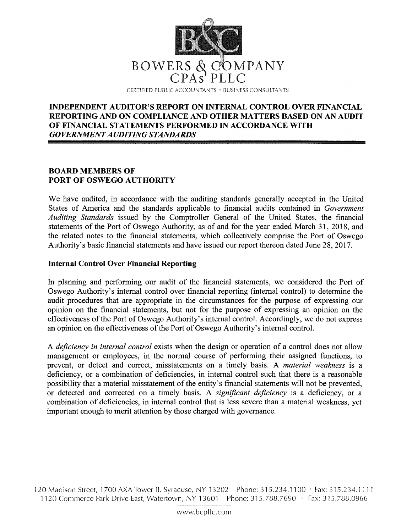

**CERTIFIED PUBLIC ACCOUNTANTS . BUSINESS CONSULTANTS** 

#### **INDEPENDENT AUDITOR'S REPORT ON INTERNAL CONTROL OVER FINANCIAL** REPORTING AND ON COMPLIANCE AND OTHER MATTERS BASED ON AN AUDIT OF FINANCIAL STATEMENTS PERFORMED IN ACCORDANCE WITH **GOVERNMENT AUDITING STANDARDS**

#### **BOARD MEMBERS OF** PORT OF OSWEGO AUTHORITY

We have audited, in accordance with the auditing standards generally accepted in the United States of America and the standards applicable to financial audits contained in Government Auditing Standards issued by the Comptroller General of the United States, the financial statements of the Port of Oswego Authority, as of and for the year ended March 31, 2018, and the related notes to the financial statements, which collectively comprise the Port of Oswego Authority's basic financial statements and have issued our report thereon dated June 28, 2017.

#### **Internal Control Over Financial Reporting**

In planning and performing our audit of the financial statements, we considered the Port of Oswego Authority's internal control over financial reporting (internal control) to determine the audit procedures that are appropriate in the circumstances for the purpose of expressing our opinion on the financial statements, but not for the purpose of expressing an opinion on the effectiveness of the Port of Oswego Authority's internal control. Accordingly, we do not express an opinion on the effectiveness of the Port of Oswego Authority's internal control.

A deficiency in internal control exists when the design or operation of a control does not allow management or employees, in the normal course of performing their assigned functions, to prevent, or detect and correct, misstatements on a timely basis. A material weakness is a deficiency, or a combination of deficiencies, in internal control such that there is a reasonable possibility that a material misstatement of the entity's financial statements will not be prevented, or detected and corrected on a timely basis. A *significant deficiency* is a deficiency, or a combination of deficiencies, in internal control that is less severe than a material weakness, yet important enough to merit attention by those charged with governance.

120 Madison Street, 1700 AXA Tower II, Syracuse, NY 13202 Phone: 315.234.1100 • Fax: 315.234.1111 1120 Commerce Park Drive East, Watertown, NY 13601 Phone: 315.788.7690 • Fax: 315.788.0966